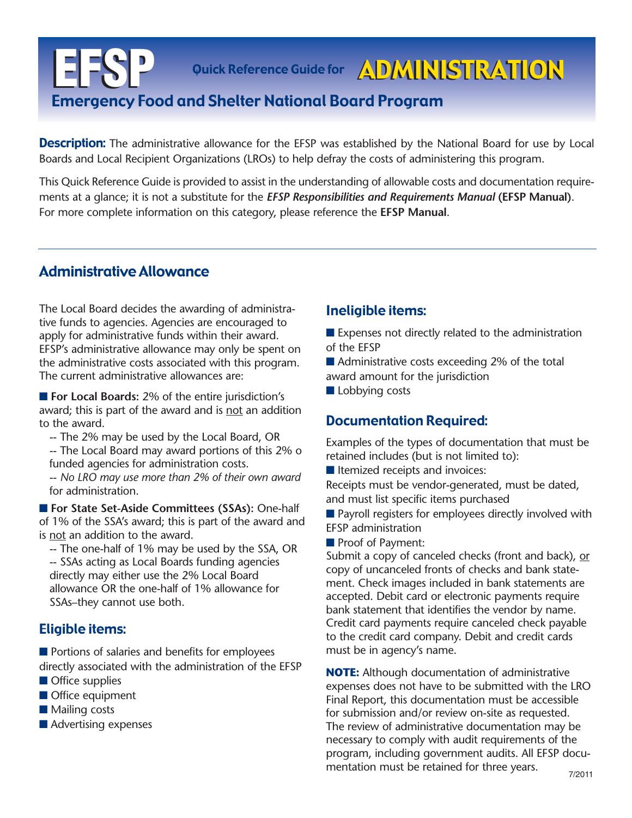# **EFSP** Emergency Food and Shelter National Board Program Quick Reference Guide for ADMINISTRATION

**Description:** The administrative allowance for the EFSP was established by the National Board for use by Local Boards and Local Recipient Organizations (LROs) to help defray the costs of administering this program.

This Quick Reference Guide is provided to assist in the understanding of allowable costs and documentation requirements at a glance; it is not a substitute for the *EFSP Responsibilities and Requirements Manual* **(EFSP Manual)**. For more complete information on this category, please reference the **EFSP Manual**.

# Administrative Allowance

The Local Board decides the awarding of administrative funds to agencies. Agencies are encouraged to apply for administrative funds within their award. EFSP's administrative allowance may only be spent on the administrative costs associated with this program. The current administrative allowances are:

■ **For Local Boards:** 2% of the entire jurisdiction's award; this is part of the award and is not an addition to the award.

-- The 2% may be used by the Local Board, OR

-- The Local Board may award portions of this 2% o funded agencies for administration costs.

-- *No LRO may use more than 2% of their own award* for administration.

■ **For State Set-Aside Committees (SSAs):** One-half of 1% of the SSA's award; this is part of the award and is not an addition to the award.

-- The one-half of 1% may be used by the SSA, OR -- SSAs acting as Local Boards funding agencies directly may either use the 2% Local Board allowance OR the one-half of 1% allowance for SSAs–they cannot use both.

## Eligible items:

■ Portions of salaries and benefits for employees directly associated with the administration of the EFSP

- Office supplies
- Office equipment
- Mailing costs
- Advertising expenses

## Ineligible items:

■ Expenses not directly related to the administration of the EFSP

■ Administrative costs exceeding 2% of the total award amount for the jurisdiction

■ Lobbying costs

## Documentation Required:

Examples of the types of documentation that must be retained includes (but is not limited to):

■ Itemized receipts and invoices:

Receipts must be vendor-generated, must be dated, and must list specific items purchased

■ Payroll registers for employees directly involved with EFSP administration

■ Proof of Payment:

Submit a copy of canceled checks (front and back), or copy of uncanceled fronts of checks and bank statement. Check images included in bank statements are accepted. Debit card or electronic payments require bank statement that identifies the vendor by name. Credit card payments require canceled check payable to the credit card company. Debit and credit cards must be in agency's name.

**NOTE:** Although documentation of administrative expenses does not have to be submitted with the LRO Final Report, this documentation must be accessible for submission and/or review on-site as requested. The review of administrative documentation may be necessary to comply with audit requirements of the program, including government audits. All EFSP documentation must be retained for three years.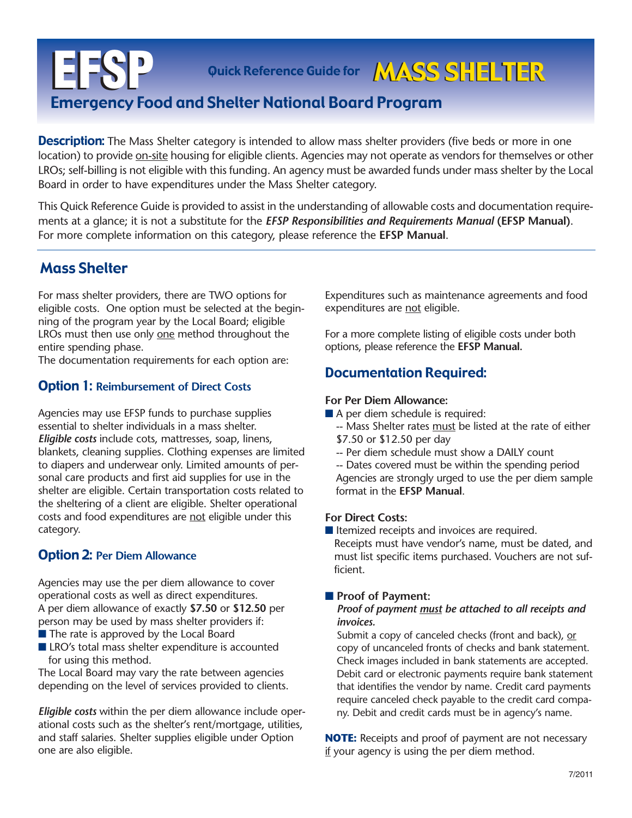# **EFSP** Emergency Food and Shelter National Board Program Quick Reference Guide for **MASS SHELTER**

**Description:** The Mass Shelter category is intended to allow mass shelter providers (five beds or more in one location) to provide on-site housing for eligible clients. Agencies may not operate as vendors for themselves or other LROs; self-billing is not eligible with this funding. An agency must be awarded funds under mass shelter by the Local Board in order to have expenditures under the Mass Shelter category.

This Quick Reference Guide is provided to assist in the understanding of allowable costs and documentation requirements at a glance; it is not a substitute for the *EFSP Responsibilities and Requirements Manual* **(EFSP Manual)**. For more complete information on this category, please reference the **EFSP Manual**.

# Mass Shelter

For mass shelter providers, there are TWO options for eligible costs. One option must be selected at the beginning of the program year by the Local Board; eligible LROs must then use only one method throughout the entire spending phase.

The documentation requirements for each option are:

## Option 1: **Reimbursement of Direct Costs**

Agencies may use EFSP funds to purchase supplies essential to shelter individuals in a mass shelter. *Eligible costs* include cots, mattresses, soap, linens, blankets, cleaning supplies. Clothing expenses are limited to diapers and underwear only. Limited amounts of personal care products and first aid supplies for use in the shelter are eligible. Certain transportation costs related to the sheltering of a client are eligible. Shelter operational costs and food expenditures are not eligible under this category.

## Option 2: **Per Diem Allowance**

Agencies may use the per diem allowance to cover operational costs as well as direct expenditures. A per diem allowance of exactly **\$7.50** or **\$12.50** per person may be used by mass shelter providers if:

- The rate is approved by the Local Board
- LRO's total mass shelter expenditure is accounted for using this method.

The Local Board may vary the rate between agencies depending on the level of services provided to clients.

*Eligible costs* within the per diem allowance include operational costs such as the shelter's rent/mortgage, utilities, and staff salaries. Shelter supplies eligible under Option one are also eligible.

Expenditures such as maintenance agreements and food expenditures are not eligible.

For a more complete listing of eligible costs under both options, please reference the **EFSP Manual.**

## Documentation Required:

## **For Per Diem Allowance:**

- A per diem schedule is required:
	- -- Mass Shelter rates must be listed at the rate of either \$7.50 or \$12.50 per day
	- -- Per diem schedule must show a DAILY count
	- -- Dates covered must be within the spending period Agencies are strongly urged to use the per diem sample format in the **EFSP Manual**.

#### **For Direct Costs:**

■ Itemized receipts and invoices are required. Receipts must have vendor's name, must be dated, and must list specific items purchased. Vouchers are not sufficient.

## ■ **Proof of Payment:**

#### *Proof of payment must be attached to all receipts and invoices.*

Submit a copy of canceled checks (front and back), or copy of uncanceled fronts of checks and bank statement. Check images included in bank statements are accepted. Debit card or electronic payments require bank statement that identifies the vendor by name. Credit card payments require canceled check payable to the credit card company. Debit and credit cards must be in agency's name.

**NOTE:** Receipts and proof of payment are not necessary if your agency is using the per diem method.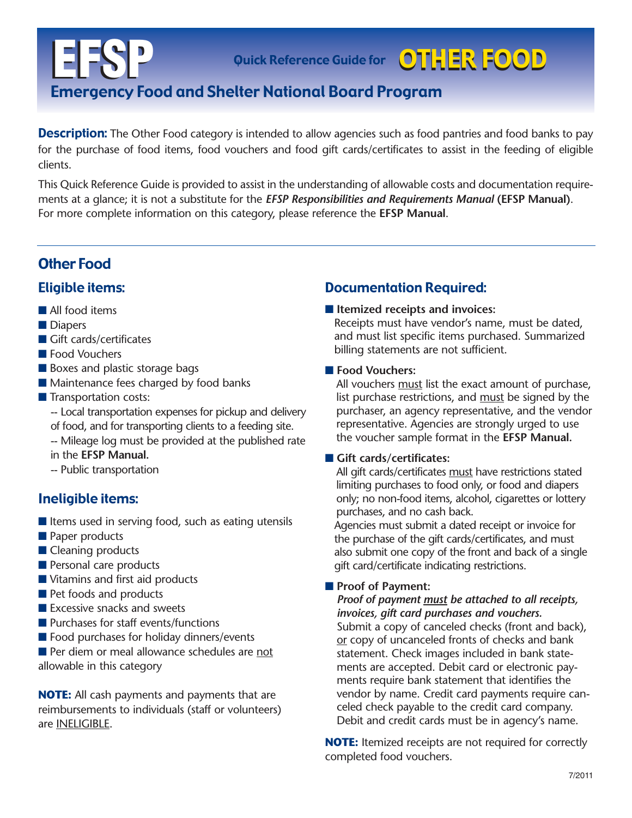Quick Reference Guide for **OTHER FOOD** 

# **EFSP** Emergency Food and Shelter National Board Program

**Description:** The Other Food category is intended to allow agencies such as food pantries and food banks to pay for the purchase of food items, food vouchers and food gift cards/certificates to assist in the feeding of eligible clients.

This Quick Reference Guide is provided to assist in the understanding of allowable costs and documentation requirements at a glance; it is not a substitute for the *EFSP Responsibilities and Requirements Manual* **(EFSP Manual)**. For more complete information on this category, please reference the **EFSP Manual**.

# Other Food

## Eligible items:

- All food items
- Diapers
- Gift cards/certificates
- Food Vouchers
- Boxes and plastic storage bags
- Maintenance fees charged by food banks
- Transportation costs:
	- -- Local transportation expenses for pickup and delivery of food, and for transporting clients to a feeding site.
	- -- Mileage log must be provided at the published rate
	- in the **EFSP Manual.**
	- -- Public transportation

## Ineligible items:

- Items used in serving food, such as eating utensils
- Paper products
- Cleaning products
- Personal care products
- Vitamins and first aid products
- Pet foods and products
- Excessive snacks and sweets
- Purchases for staff events/functions
- Food purchases for holiday dinners/events

■ Per diem or meal allowance schedules are not allowable in this category

**NOTE:** All cash payments and payments that are reimbursements to individuals (staff or volunteers) are INELIGIBLE.

# Documentation Required:

## ■ **Itemized receipts and invoices:**

Receipts must have vendor's name, must be dated, and must list specific items purchased. Summarized billing statements are not sufficient.

#### ■ **Food Vouchers:**

All vouchers must list the exact amount of purchase, list purchase restrictions, and must be signed by the purchaser, an agency representative, and the vendor representative. Agencies are strongly urged to use the voucher sample format in the **EFSP Manual.**

## ■ Gift cards/certificates:

All gift cards/certificates must have restrictions stated limiting purchases to food only, or food and diapers only; no non-food items, alcohol, cigarettes or lottery purchases, and no cash back.

Agencies must submit a dated receipt or invoice for the purchase of the gift cards/certificates, and must also submit one copy of the front and back of a single gift card/certificate indicating restrictions.

## ■ **Proof of Payment:**

*Proof of payment must be attached to all receipts, invoices, gift card purchases and vouchers.* Submit a copy of canceled checks (front and back), or copy of uncanceled fronts of checks and bank statement. Check images included in bank statements are accepted. Debit card or electronic payments require bank statement that identifies the vendor by name. Credit card payments require canceled check payable to the credit card company.

**NOTE:** Itemized receipts are not required for correctly completed food vouchers.

Debit and credit cards must be in agency's name.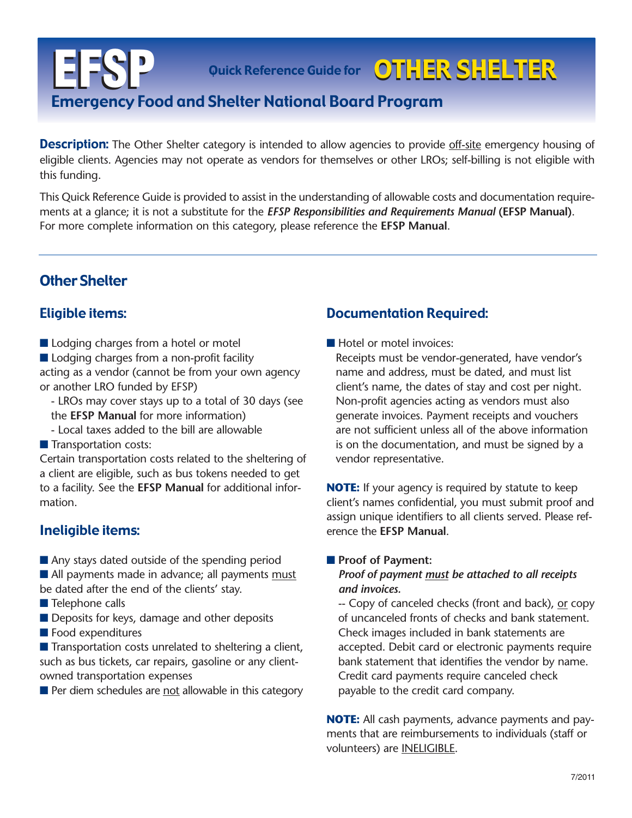Quick Reference Guide for **OTHER SHELTER** 

# **EFSP** Emergency Food and Shelter National Board Program

**Description:** The Other Shelter category is intended to allow agencies to provide <u>off-site</u> emergency housing of eligible clients. Agencies may not operate as vendors for themselves or other LROs; self-billing is not eligible with this funding.

This Quick Reference Guide is provided to assist in the understanding of allowable costs and documentation requirements at a glance; it is not a substitute for the *EFSP Responsibilities and Requirements Manual* **(EFSP Manual)**. For more complete information on this category, please reference the **EFSP Manual**.

# Other Shelter

## Eligible items:

- Lodging charges from a hotel or motel
- Lodging charges from a non-profit facility

acting as a vendor (cannot be from your own agency or another LRO funded by EFSP)

- LROs may cover stays up to a total of 30 days (see the **EFSP Manual** for more information)
- Local taxes added to the bill are allowable
- Transportation costs:

Certain transportation costs related to the sheltering of a client are eligible, such as bus tokens needed to get to a facility. See the **EFSP Manual** for additional information.

## Ineligible items:

■ Any stays dated outside of the spending period ■ All payments made in advance; all payments must

- be dated after the end of the clients' stay.
- Telephone calls
- Deposits for keys, damage and other deposits
- Food expenditures

 $\blacksquare$  Transportation costs unrelated to sheltering a client, such as bus tickets, car repairs, gasoline or any clientowned transportation expenses

■ Per diem schedules are not allowable in this category

## Documentation Required:

■ Hotel or motel invoices:

Receipts must be vendor-generated, have vendor's name and address, must be dated, and must list client's name, the dates of stay and cost per night. Non-profit agencies acting as vendors must also generate invoices. Payment receipts and vouchers are not sufficient unless all of the above information is on the documentation, and must be signed by a vendor representative.

**NOTE:** If your agency is required by statute to keep client's names confidential, you must submit proof and assign unique identifiers to all clients served. Please reference the **EFSP Manual**.

#### ■ **Proof of Payment:**

### *Proof of payment must be attached to all receipts and invoices.*

-- Copy of canceled checks (front and back), or copy of uncanceled fronts of checks and bank statement. Check images included in bank statements are accepted. Debit card or electronic payments require bank statement that identifies the vendor by name. Credit card payments require canceled check payable to the credit card company.

**NOTE:** All cash payments, advance payments and payments that are reimbursements to individuals (staff or volunteers) are INELIGIBLE.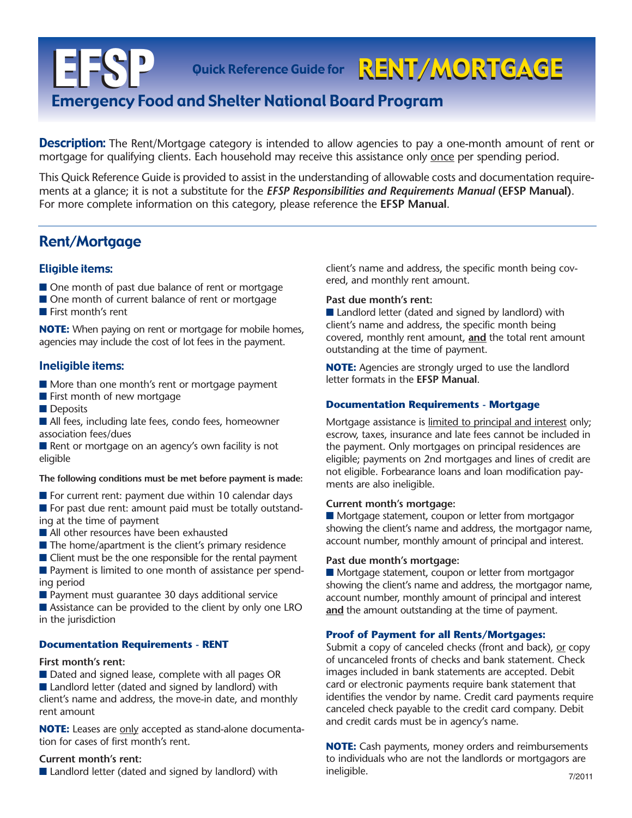Quick Reference Guide for RENT/MORTGAGE

# **EFSP** Emergency Food and Shelter National Board Program

**Description:** The Rent/Mortgage category is intended to allow agencies to pay a one-month amount of rent or mortgage for qualifying clients. Each household may receive this assistance only once per spending period.

This Quick Reference Guide is provided to assist in the understanding of allowable costs and documentation requirements at a glance; it is not a substitute for the *EFSP Responsibilities and Requirements Manual* **(EFSP Manual)**. For more complete information on this category, please reference the **EFSP Manual**.

# Rent/Mortgage

#### Eligible items:

- One month of past due balance of rent or mortgage
- One month of current balance of rent or mortgage
- First month's rent

**NOTE:** When paying on rent or mortgage for mobile homes, agencies may include the cost of lot fees in the payment.

#### Ineligible items:

- More than one month's rent or mortgage payment
- First month of new mortgage
- Deposits

■ All fees, including late fees, condo fees, homeowner association fees/dues

■ Rent or mortgage on an agency's own facility is not eligible

#### **The following conditions must be met before payment is made:**

- For current rent: payment due within 10 calendar days ■ For past due rent: amount paid must be totally outstand-
- ing at the time of payment
- All other resources have been exhausted
- The home/apartment is the client's primary residence
- Client must be the one responsible for the rental payment

■ Payment is limited to one month of assistance per spending period

■ Payment must guarantee 30 days additional service

■ Assistance can be provided to the client by only one LRO in the jurisdiction

#### **Documentation Requirements - RENT**

#### **First month's rent:**

■ Dated and signed lease, complete with all pages OR ■ Landlord letter (dated and signed by landlord) with client's name and address, the move-in date, and monthly rent amount

**NOTE:** Leases are only accepted as stand-alone documentation for cases of first month's rent.

#### **Current month's rent:**

■ Landlord letter (dated and signed by landlord) with

client's name and address, the specific month being covered, and monthly rent amount.

#### **Past due month's rent:**

■ Landlord letter (dated and signed by landlord) with client's name and address, the specific month being covered, monthly rent amount, **and** the total rent amount outstanding at the time of payment.

**NOTE:** Agencies are strongly urged to use the landlord letter formats in the **EFSP Manual**.

#### **Documentation Requirements - Mortgage**

Mortgage assistance is limited to principal and interest only; escrow, taxes, insurance and late fees cannot be included in the payment. Only mortgages on principal residences are eligible; payments on 2nd mortgages and lines of credit are not eligible. Forbearance loans and loan modification payments are also ineligible.

#### **Current month's mortgage:**

■ Mortgage statement, coupon or letter from mortgagor showing the client's name and address, the mortgagor name, account number, monthly amount of principal and interest.

#### **Past due month's mortgage:**

■ Mortgage statement, coupon or letter from mortgagor showing the client's name and address, the mortgagor name, account number, monthly amount of principal and interest **and** the amount outstanding at the time of payment.

#### **Proof of Payment for all Rents/Mortgages:**

Submit a copy of canceled checks (front and back), or copy of uncanceled fronts of checks and bank statement. Check images included in bank statements are accepted. Debit card or electronic payments require bank statement that identifies the vendor by name. Credit card payments require canceled check payable to the credit card company. Debit and credit cards must be in agency's name.

**NOTE:** Cash payments, money orders and reimbursements to individuals who are not the landlords or mortgagors are ineligible. 7/2011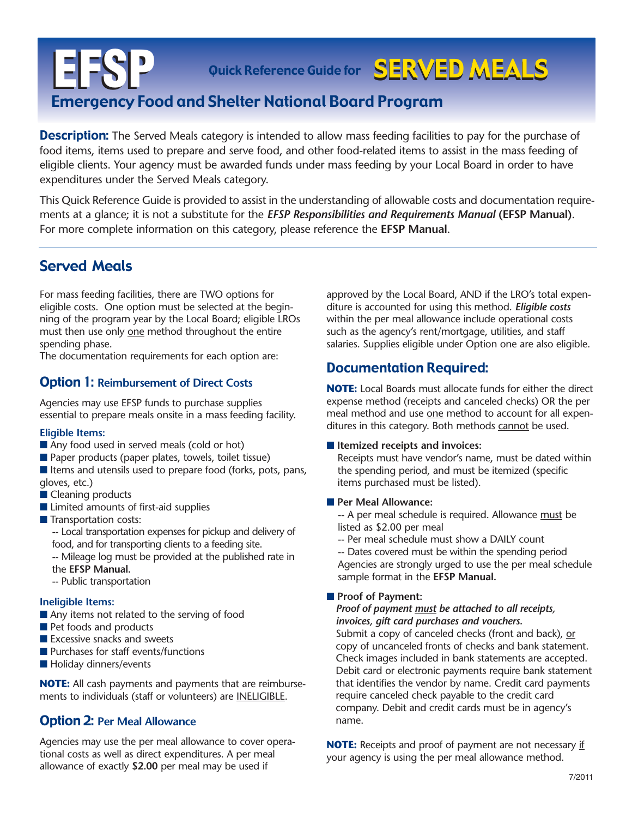# **EFSP** Emergency Food and Shelter National Board Program Quick Reference Guide for SERVED MEALS

**Description:** The Served Meals category is intended to allow mass feeding facilities to pay for the purchase of food items, items used to prepare and serve food, and other food-related items to assist in the mass feeding of eligible clients. Your agency must be awarded funds under mass feeding by your Local Board in order to have expenditures under the Served Meals category.

This Quick Reference Guide is provided to assist in the understanding of allowable costs and documentation requirements at a glance; it is not a substitute for the *EFSP Responsibilities and Requirements Manual* **(EFSP Manual)**. For more complete information on this category, please reference the **EFSP Manual**.

# Served Meals

For mass feeding facilities, there are TWO options for eligible costs. One option must be selected at the beginning of the program year by the Local Board; eligible LROs must then use only one method throughout the entire spending phase.

The documentation requirements for each option are:

## Option 1: **Reimbursement of Direct Costs**

Agencies may use EFSP funds to purchase supplies essential to prepare meals onsite in a mass feeding facility.

#### **Eligible Items:**

- Any food used in served meals (cold or hot)
- Paper products (paper plates, towels, toilet tissue)
- Items and utensils used to prepare food (forks, pots, pans, gloves, etc.)
- Cleaning products
- Limited amounts of first-aid supplies
- Transportation costs:
	- -- Local transportation expenses for pickup and delivery of food, and for transporting clients to a feeding site.
	- -- Mileage log must be provided at the published rate in the **EFSP Manual.**
	- -- Public transportation

#### **Ineligible Items:**

- Any items not related to the serving of food
- Pet foods and products
- Excessive snacks and sweets
- Purchases for staff events/functions
- Holiday dinners/events

**NOTE:** All cash payments and payments that are reimbursements to individuals (staff or volunteers) are INELIGIBLE.

## Option 2: **Per Meal Allowance**

Agencies may use the per meal allowance to cover operational costs as well as direct expenditures. A per meal allowance of exactly **\$2.00** per meal may be used if

approved by the Local Board, AND if the LRO's total expenditure is accounted for using this method. *Eligible costs* within the per meal allowance include operational costs such as the agency's rent/mortgage, utilities, and staff salaries. Supplies eligible under Option one are also eligible.

## Documentation Required:

**NOTE:** Local Boards must allocate funds for either the direct expense method (receipts and canceled checks) OR the per meal method and use one method to account for all expenditures in this category. Both methods cannot be used.

#### ■ **Itemized receipts and invoices:**

Receipts must have vendor's name, must be dated within the spending period, and must be itemized (specific items purchased must be listed).

#### ■ **Per Meal Allowance:**

-- A per meal schedule is required. Allowance must be listed as \$2.00 per meal

-- Per meal schedule must show a DAILY count

-- Dates covered must be within the spending period Agencies are strongly urged to use the per meal schedule sample format in the **EFSP Manual.**

#### ■ **Proof of Payment:**

*Proof of payment must be attached to all receipts, invoices, gift card purchases and vouchers.*

Submit a copy of canceled checks (front and back), or copy of uncanceled fronts of checks and bank statement. Check images included in bank statements are accepted. Debit card or electronic payments require bank statement that identifies the vendor by name. Credit card payments require canceled check payable to the credit card company. Debit and credit cards must be in agency's name.

**NOTE:** Receipts and proof of payment are not necessary if your agency is using the per meal allowance method.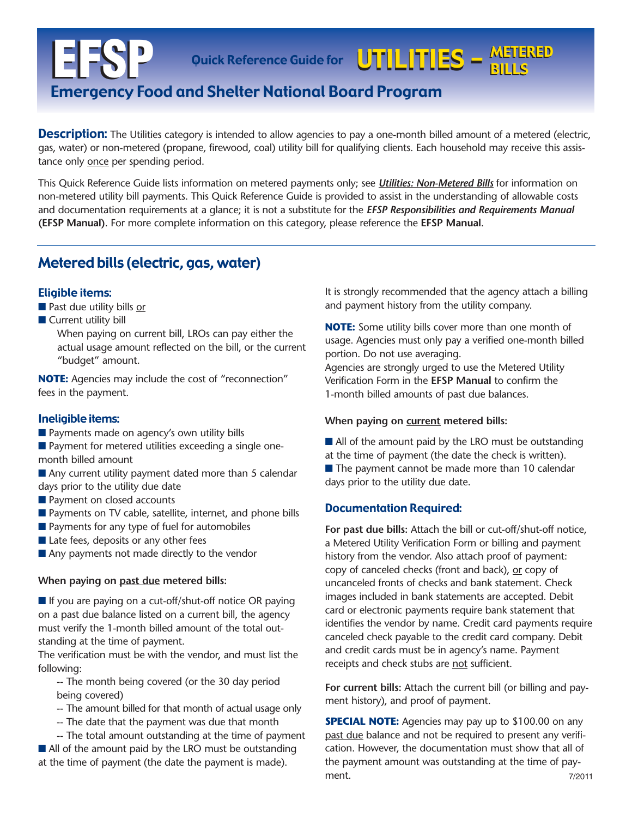#### Quick Reference Guide for WITHLITIES — METERED BILLS METERED BILLS

# **EFSP** Emergency Food and Shelter National Board Program

**Description:** The Utilities category is intended to allow agencies to pay a one-month billed amount of a metered (electric, gas, water) or non-metered (propane, firewood, coal) utility bill for qualifying clients. Each household may receive this assistance only once per spending period.

This Quick Reference Guide lists information on metered payments only; see *Utilities: Non-Metered Bills* for information on non-metered utility bill payments. This Quick Reference Guide is provided to assist in the understanding of allowable costs and documentation requirements at a glance; it is not a substitute for the *EFSP Responsibilities and Requirements Manual* **(EFSP Manual)**. For more complete information on this category, please reference the **EFSP Manual**.

## Metered bills (electric, gas, water)

#### Eligible items:

- Past due utility bills or
- Current utility bill
	- When paying on current bill, LROs can pay either the actual usage amount reflected on the bill, or the current "budget" amount.

**NOTE:** Agencies may include the cost of "reconnection" fees in the payment.

#### Ineligible items:

■ Payments made on agency's own utility bills

■ Payment for metered utilities exceeding a single onemonth billed amount

- Any current utility payment dated more than 5 calendar days prior to the utility due date
- Payment on closed accounts
- Payments on TV cable, satellite, internet, and phone bills
- Payments for any type of fuel for automobiles
- Late fees, deposits or any other fees
- Any payments not made directly to the vendor

#### **When paying on past due metered bills:**

■ If you are paying on a cut-off/shut-off notice OR paying on a past due balance listed on a current bill, the agency must verify the 1-month billed amount of the total outstanding at the time of payment.

The verification must be with the vendor, and must list the following:

-- The month being covered (or the 30 day period being covered)

- -- The amount billed for that month of actual usage only
- -- The date that the payment was due that month

-- The total amount outstanding at the time of payment ■ All of the amount paid by the LRO must be outstanding at the time of payment (the date the payment is made).

It is strongly recommended that the agency attach a billing and payment history from the utility company.

**NOTE:** Some utility bills cover more than one month of usage. Agencies must only pay a verified one-month billed portion. Do not use averaging.

Agencies are strongly urged to use the Metered Utility Verification Form in the **EFSP Manual** to confirm the 1-month billed amounts of past due balances.

#### **When paying on current metered bills:**

- All of the amount paid by the LRO must be outstanding at the time of payment (the date the check is written).
- The payment cannot be made more than 10 calendar days prior to the utility due date.

#### Documentation Required:

**For past due bills:** Attach the bill or cut-off/shut-off notice, a Metered Utility Verification Form or billing and payment history from the vendor. Also attach proof of payment: copy of canceled checks (front and back), or copy of uncanceled fronts of checks and bank statement. Check images included in bank statements are accepted. Debit card or electronic payments require bank statement that identifies the vendor by name. Credit card payments require canceled check payable to the credit card company. Debit and credit cards must be in agency's name. Payment receipts and check stubs are not sufficient.

**For current bills:** Attach the current bill (or billing and payment history), and proof of payment.

**SPECIAL NOTE:** Agencies may pay up to \$100.00 on any past due balance and not be required to present any verification. However, the documentation must show that all of the payment amount was outstanding at the time of payment. 7/2011